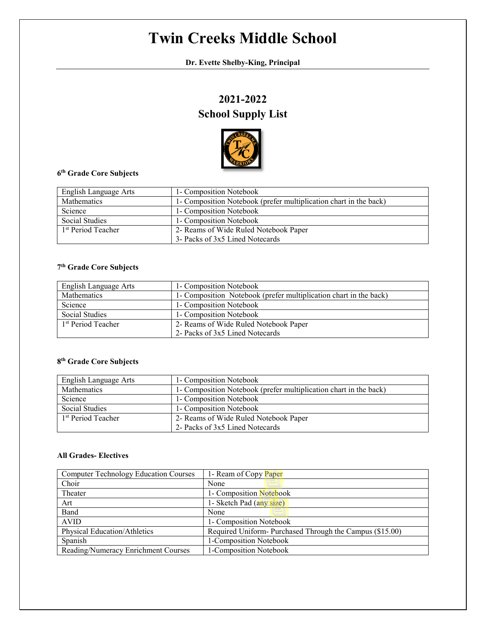# **Twin Creeks Middle School**

**Dr. Evette Shelby-King, Principal**

## **2021-2022 School Supply List**



### **6th Grade Core Subjects**

| English Language Arts          | 1- Composition Notebook                                           |
|--------------------------------|-------------------------------------------------------------------|
| <b>Mathematics</b>             | 1- Composition Notebook (prefer multiplication chart in the back) |
| Science                        | 1- Composition Notebook                                           |
| Social Studies                 | 1- Composition Notebook                                           |
| 1 <sup>st</sup> Period Teacher | 2- Reams of Wide Ruled Notebook Paper                             |
|                                | 3- Packs of 3x5 Lined Notecards                                   |

#### **7th Grade Core Subjects**

| English Language Arts          | 1- Composition Notebook                                           |
|--------------------------------|-------------------------------------------------------------------|
| Mathematics                    | 1- Composition Notebook (prefer multiplication chart in the back) |
| Science                        | 1- Composition Notebook                                           |
| Social Studies                 | 1- Composition Notebook                                           |
| 1 <sup>st</sup> Period Teacher | 2- Reams of Wide Ruled Notebook Paper                             |
|                                | 2- Packs of 3x5 Lined Notecards                                   |

### **8th Grade Core Subjects**

| English Language Arts          | 1- Composition Notebook                                           |
|--------------------------------|-------------------------------------------------------------------|
| Mathematics                    | 1- Composition Notebook (prefer multiplication chart in the back) |
| Science                        | 1- Composition Notebook                                           |
| Social Studies                 | 1- Composition Notebook                                           |
| 1 <sup>st</sup> Period Teacher | 2- Reams of Wide Ruled Notebook Paper                             |
|                                | 2- Packs of 3x5 Lined Notecards                                   |

#### **All Grades- Electives**

| <b>Computer Technology Education Courses</b> | 1- Ream of Copy Paper                                   |
|----------------------------------------------|---------------------------------------------------------|
| Choir                                        | None                                                    |
| Theater                                      | 1- Composition Notebook                                 |
| Art                                          | 1- Sketch Pad (any size)                                |
| Band                                         | None                                                    |
| <b>AVID</b>                                  | 1- Composition Notebook                                 |
| Physical Education/Athletics                 | Required Uniform-Purchased Through the Campus (\$15.00) |
| Spanish                                      | 1-Composition Notebook                                  |
| Reading/Numeracy Enrichment Courses          | 1-Composition Notebook                                  |